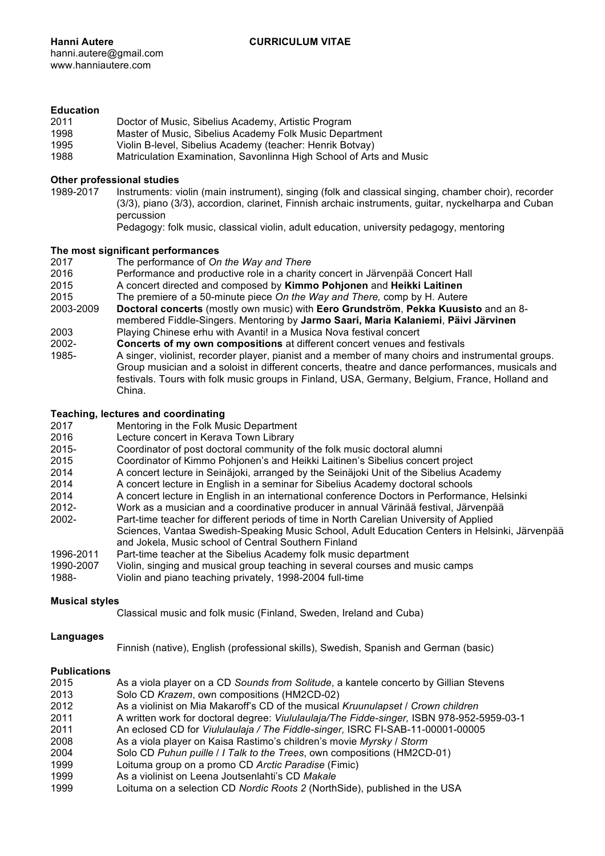# **Education**

| 2011 | Doctor of Music, Sibelius Academy, Artistic Program                 |
|------|---------------------------------------------------------------------|
| 1998 | Master of Music, Sibelius Academy Folk Music Department             |
| 1995 | Violin B-level, Sibelius Academy (teacher: Henrik Botvay)           |
| 1988 | Matriculation Examination, Savonlinna High School of Arts and Music |

# **Other professional studies**

1989-2017 Instruments: violin (main instrument), singing (folk and classical singing, chamber choir), recorder (3/3), piano (3/3), accordion, clarinet, Finnish archaic instruments, guitar, nyckelharpa and Cuban percussion

Pedagogy: folk music, classical violin, adult education, university pedagogy, mentoring

#### **The most significant performances**

- 2017 The performance of *On the Way and There*
- 2016 Performance and productive role in a charity concert in Järvenpää Concert Hall
- 2015 A concert directed and composed by **Kimmo Pohjonen** and **Heikki Laitinen**
- 2015 The premiere of a 50-minute piece *On the Way and There,* comp by H. Autere
- 2003-2009 **Doctoral concerts** (mostly own music) with **Eero Grundström**, **Pekka Kuusisto** and an 8 membered Fiddle-Singers. Mentoring by **Jarmo Saari, Maria Kalaniemi**, **Päivi Järvinen** 2003 Playing Chinese erhu with Avanti! in a Musica Nova festival concert
- 2002- **Concerts of my own compositions** at different concert venues and festivals
- 1985- A singer, violinist, recorder player, pianist and a member of many choirs and instrumental groups. Group musician and a soloist in different concerts, theatre and dance performances, musicals and festivals. Tours with folk music groups in Finland, USA, Germany, Belgium, France, Holland and China.

### **Teaching, lectures and coordinating**

- 2017 Mentoring in the Folk Music Department
- 2016 Lecture concert in Kerava Town Library
- 2015- Coordinator of post doctoral community of the folk music doctoral alumni
- 2015 Coordinator of Kimmo Pohjonen's and Heikki Laitinen's Sibelius concert project
- 2014 A concert lecture in Seinäjoki, arranged by the Seinäjoki Unit of the Sibelius Academy
- 2014 A concert lecture in English in a seminar for Sibelius Academy doctoral schools
- A concert lecture in English in an international conference Doctors in Performance, Helsinki
- 2012- Work as a musician and a coordinative producer in annual Värinää festival, Järvenpää
- 2002- Part-time teacher for different periods of time in North Carelian University of Applied
- Sciences, Vantaa Swedish-Speaking Music School, Adult Education Centers in Helsinki, Järvenpää and Jokela, Music school of Central Southern Finland
- 1996-2011 Part-time teacher at the Sibelius Academy folk music department
- 1990-2007 Violin, singing and musical group teaching in several courses and music camps<br>1988- Violin and piano teaching privately 1998-2004 full-time
- Violin and piano teaching privately, 1998-2004 full-time

# **Musical styles**

Classical music and folk music (Finland, Sweden, Ireland and Cuba)

# **Languages**

Finnish (native), English (professional skills), Swedish, Spanish and German (basic)

# **Publications**

| 2015 | As a viola player on a CD Sounds from Solitude, a kantele concerto by Gillian Stevens     |
|------|-------------------------------------------------------------------------------------------|
| 2013 | Solo CD Krazem, own compositions (HM2CD-02)                                               |
| 2012 | As a violinist on Mia Makaroff's CD of the musical Kruunulapset / Crown children          |
| 2011 | A written work for doctoral degree: Viululaulaja/The Fidde-singer, ISBN 978-952-5959-03-1 |
| 2011 | An eclosed CD for Viululaulaja / The Fiddle-singer, ISRC FI-SAB-11-00001-00005            |
| 2008 | As a viola player on Kaisa Rastimo's children's movie Myrsky / Storm                      |
| 2004 | Solo CD Puhun puille / I Talk to the Trees, own compositions (HM2CD-01)                   |
| 1999 | Loituma group on a promo CD Arctic Paradise (Fimic)                                       |
| 1999 | As a violinist on Leena Joutsenlahti's CD Makale                                          |
| 1999 | Loituma on a selection CD Nordic Roots 2 (NorthSide), published in the USA                |